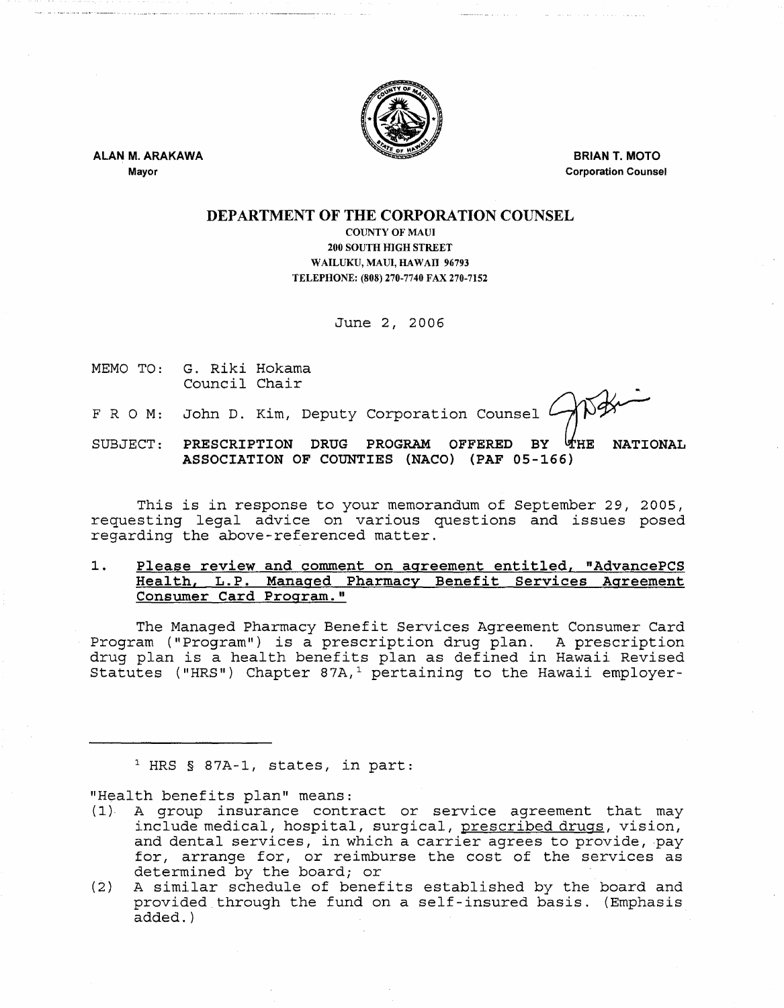

ALAN M. ARAKAWA Mayor

BRIAN T. MOTO Corporation Counsel

ويصابهما ولايتان والمعارف المحاملات

## DEPARTMENT OF THE CORPORATION COUNSEL

COUNTY OF MAUl 200 SOUTH HIGH STREET WAILUKU, MAUl, HAWAII 96793 TELEPHONE: (808) 270-7740 FAX 270-7152

June 2, 2006

MEMO TO: G. Riki Hokama Council Chair

F R O M: John D. Kim, Deputy Corporation Counsel

SUBJECT: PRESCRIPTION DRUG PROGRAM OFFERED BY  $903$ UHE NATIONAL ASSOCIATION OF COUNTIES (NACO) (PAF 05-166)

This is in response to your memorandum of September 29, 2005, requesting legal advice on various questions and issues posed regarding the above-referenced matter.

## 1. Please review and comment on agreement entitled, "AdvancePCS Health, L.P. Managed Pharmacy Benefit Services Agreement Consumer Card Program."

The Managed Pharmacy Benefit Services Agreement Consumer Card Program ("Program") is a prescription drug plan. A prescription drug plan is a health benefits plan as defined in Hawaii Revised Statutes ("HRS") Chapter 87A,<sup>1</sup> pertaining to the Hawaii employer-

1 HRS § 87A-1, states, in part:

"Health benefits plan" means:

- (1)· A group insurance contract or service agreement that may include medical, hospital, surgical, prescribed drugs, vision, and dental services, in which a carrier agrees to provide, pay for, arrange for, or reimburse the cost of the services as determined by the board; or
- (2) A similar schedule of benefits established by the board and provided through the fund on a self-insured basis. (Emphasis added. )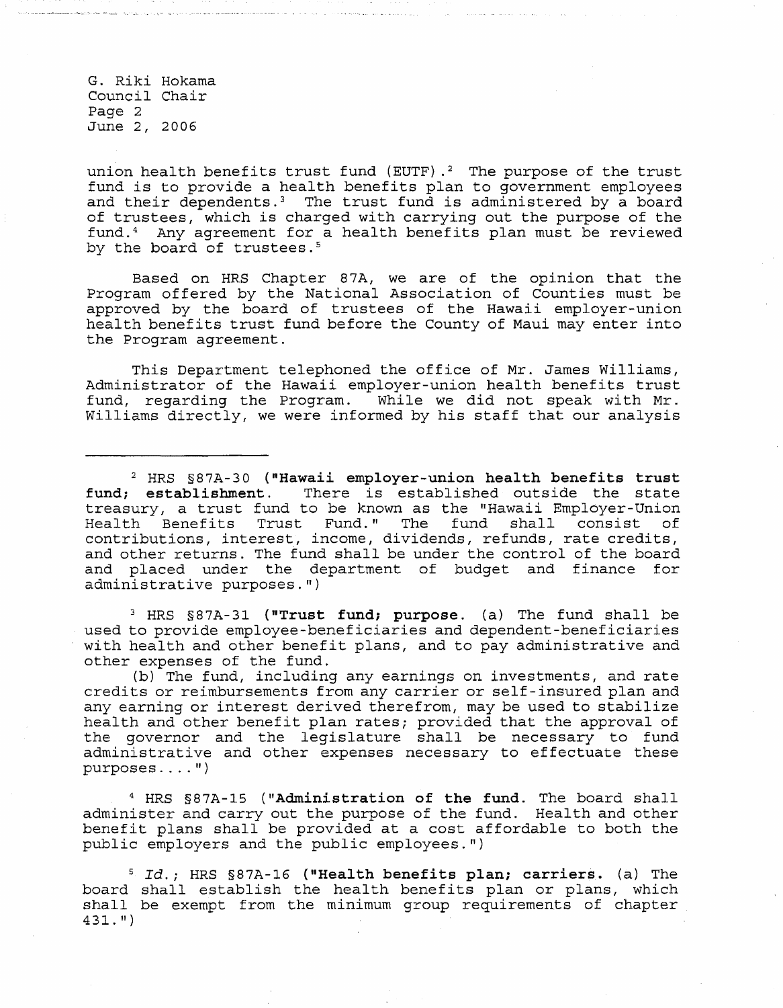G. Riki Hokama Council Chair Page 2 June 2, 2006

union health benefits trust fund (EUTF).<sup>2</sup> The purpose of the trust fund is to provide a health benefits plan to government employees and their dependents.<sup>3</sup> The trust fund is administered by a board of trustees, which is charged with carrying out the purpose of the fund. 4 Any agreement for a health benefits plan must be reviewed by the board of trustees.<sup>5</sup>

Based on HRS Chapter 87A, we are of the opinion that the Program offered by the National Association of Counties must be approved by the board of trustees of the Hawaii employer-union health benefits trust fund before the County of Maui may enter into the Program agreement.

This Department telephoned the office of Mr. James Williams, Administrator of the Hawaii employer-union health benefits trust fund, regarding the Program. While we did not speak with Mr. Williams directly, we were informed by his staff that our analysis

<sup>2</sup> HRS §87A-30 ("Hawaii employer-union health benefits trust **fund; establishment.** There is established outside the state treasury, a trust fund to be known as the "Hawaii Employer-Union Health Benefits Trust Fund. " The fund shall consist of contributions, interest, income, dividends, refunds, rate credits, and other returns. The fund shall be under the control of the board and placed under the department of budget and finance for administrative purposes.")

<sup>3</sup> HRS §87A-31 ("Trust fund; purpose. (a) The fund shall be used to provide employee-beneficiaries and dependent-beneficiaries with health and other benefit plans, and to pay administrative and other expenses of the fund.

(b) The fund, including any earnings on investments, and rate credits or reimbursements from any carrier or self-insured plan and any earning or interest derived therefrom, may be used to stabilize health and other benefit plan rates; provided that the approval of the governor and the legislature shall be necessary to fund administrative and other expenses necessary to effectuate these  $purposes...$   $"$ )

4 HRS §87A-15 **("Administration of the fund.** The board shall administer and carry out the purpose of the fund. Health and other benefit plans shall be provided at a cost affordable to both the public employers and the public employees.")

<sup>5</sup>*Id.;* HRS §87A-16 **(IlHealth benefits plan; carriers.** (a) The board shall establish the health benefits plan or plans, which shall be exempt from the minimum group requirements of chapter  $431.$  ")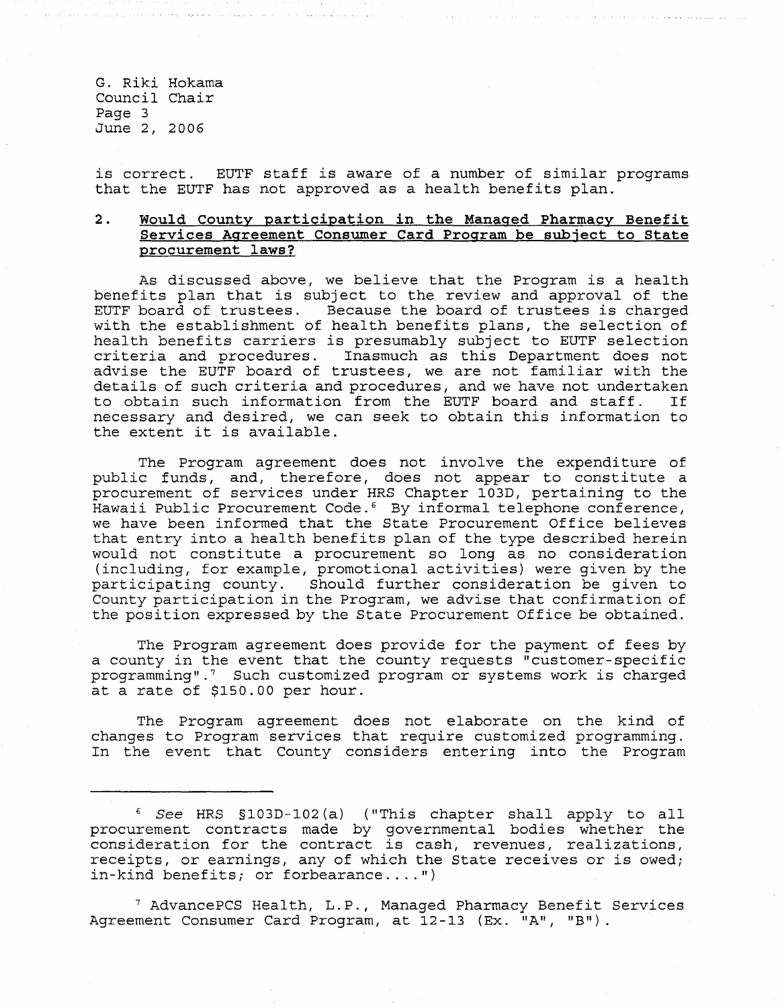G. Riki Hokama Council Chair Page 3 June 2, 2006

is correct. EUTF staff is aware of a number of similar programs that the EUTF has not approved as a health benefits plan.

## **2. Would County participation in the Manaaed Pharmacy Benefit Services Agreement Consumer Card Program be subject to State procurement laws?**

As discussed above, we believe that the Program is a health benefits plan that is subject to the review and approval of the EUTF board of trustees. Because the board of trustees is charged with the establishment of health benefits plans, the selection of health benefits carriers is presumably subject to EUTF selection criteria and procedures. Inasmuch as this Department does not advise the EUTF board of trustees, we are not familiar with the details of such criteria and procedures, and we have not undertaken<br>to obtain such information from the EUTF board and staff. If to obtain such information from the EUTF board and staff. necessary and desired, we can seek to obtain this information to the extent it is available.

The Program agreement does not involve the expenditure of public funds, and, therefore, does not appear to constitute a procurement of services under HRS Chapter 103D, pertaining to the Hawaii Public Procurement Code.<sup>6</sup> By informal telephone conference, we have been informed that the State Procurement Office believes that entry into a health benefits plan of the type described herein would not constitute a procurement so long as no consideration (including, for example, promotional activities) were given by the participating county. Should further consideration be given to County participation in the Program, we advise that confirmation of the position expressed by the State Procurement Office be obtained.

The Program agreement does provide for the payment of fees by a county in the event that the county requests "customer-specific programming" .7 Such customized program or systems work is charged at a rate of \$150.00 per hour.

The Program agreement does not elaborate on the kind of changes to Program services that require customized programming. In the event that County considers entering into the Program

7 AdvancePCS Health, L.P., Managed Pharmacy Benefit Services Agreement Consumer Card Program, at 12-13 (Ex. "A", "B").

<sup>&</sup>lt;sup>6</sup> See HRS §103D-102(a) ("This chapter shall apply to all procurement contracts made by governmental bodies whether the procurement contracts made by governmentar boards whether the<br>consideration for the contract is cash, revenues, realizations, receipts, or earnings, any of which the State receives or is owed; in-kind benefits; or forbearance....")